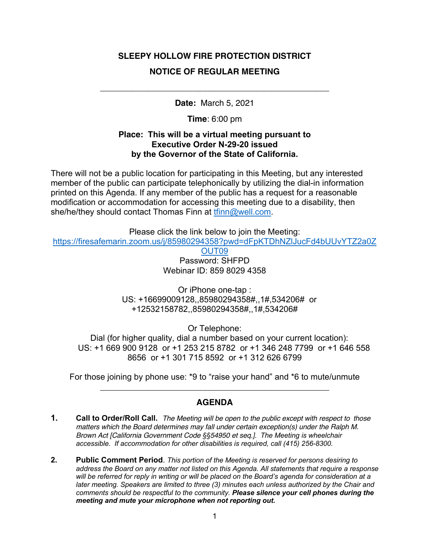# **SLEEPY HOLLOW FIRE PROTECTION DISTRICT NOTICE OF REGULAR MEETING**

**Date:** March 5, 2021

\_\_\_\_\_\_\_\_\_\_\_\_\_\_\_\_\_\_\_\_\_\_\_\_\_\_\_\_\_\_\_\_\_\_\_\_\_\_\_\_\_\_\_\_\_\_\_\_\_

**Time**: 6:00 pm

#### **Place: This will be a virtual meeting pursuant to Executive Order N-29-20 issued by the Governor of the State of California.**

There will not be a public location for participating in this Meeting, but any interested member of the public can participate telephonically by utilizing the dial-in information printed on this Agenda. If any member of the public has a request for a reasonable modification or accommodation for accessing this meeting due to a disability, then she/he/they should contact Thomas Finn at thinn@well.com.

Please click the link below to join the Meeting: https://firesafemarin.zoom.us/j/85980294358?pwd=dFpKTDhNZlJucFd4bUUvYTZ2a0Z

> OUT09 Password: SHFPD Webinar ID: 859 8029 4358

Or iPhone one-tap : US: +16699009128,,85980294358#,,1#,534206# or +12532158782,,85980294358#,,1#,534206#

Or Telephone:

Dial (for higher quality, dial a number based on your current location): US: +1 669 900 9128 or +1 253 215 8782 or +1 346 248 7799 or +1 646 558 8656 or +1 301 715 8592 or +1 312 626 6799

For those joining by phone use: \*9 to "raise your hand" and \*6 to mute/unmute \_\_\_\_\_\_\_\_\_\_\_\_\_\_\_\_\_\_\_\_\_\_\_\_\_\_\_\_\_\_\_\_\_\_\_\_\_\_\_\_\_\_\_\_\_\_\_\_\_

### **AGENDA**

- **1. Call to Order/Roll Call.** *The Meeting will be open to the public except with respect to those matters which the Board determines may fall under certain exception(s) under the Ralph M. Brown Act [California Government Code §§54950 et seq.]. The Meeting is wheelchair accessible. If accommodation for other disabilities is required, call (415) 256-8300.*
- **2. Public Comment Period**. *This portion of the Meeting is reserved for persons desiring to address the Board on any matter not listed on this Agenda. All statements that require a response will be referred for reply in writing or will be placed on the Board's agenda for consideration at a later meeting. Speakers are limited to three (3) minutes each unless authorized by the Chair and comments should be respectful to the community. Please silence your cell phones during the meeting and mute your microphone when not reporting out.*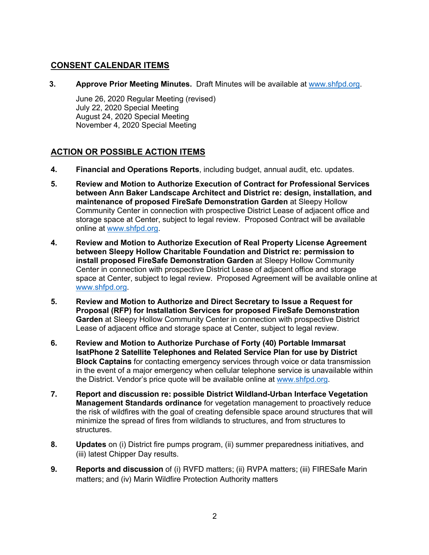### **CONSENT CALENDAR ITEMS**

**3. Approve Prior Meeting Minutes.** Draft Minutes will be available at www.shfpd.org.

June 26, 2020 Regular Meeting (revised) July 22, 2020 Special Meeting August 24, 2020 Special Meeting November 4, 2020 Special Meeting

## **ACTION OR POSSIBLE ACTION ITEMS**

- **4. Financial and Operations Reports**, including budget, annual audit, etc. updates.
- **5. Review and Motion to Authorize Execution of Contract for Professional Services between Ann Baker Landscape Architect and District re: design, installation, and maintenance of proposed FireSafe Demonstration Garden** at Sleepy Hollow Community Center in connection with prospective District Lease of adjacent office and storage space at Center, subject to legal review. Proposed Contract will be available online at www.shfpd.org.
- **4. Review and Motion to Authorize Execution of Real Property License Agreement between Sleepy Hollow Charitable Foundation and District re: permission to install proposed FireSafe Demonstration Garden** at Sleepy Hollow Community Center in connection with prospective District Lease of adjacent office and storage space at Center, subject to legal review. Proposed Agreement will be available online at www.shfpd.org.
- **5. Review and Motion to Authorize and Direct Secretary to Issue a Request for Proposal (RFP) for Installation Services for proposed FireSafe Demonstration Garden** at Sleepy Hollow Community Center in connection with prospective District Lease of adjacent office and storage space at Center, subject to legal review.
- **6. Review and Motion to Authorize Purchase of Forty (40) Portable Immarsat IsatPhone 2 Satellite Telephones and Related Service Plan for use by District Block Captains** for contacting emergency services through voice or data transmission in the event of a major emergency when cellular telephone service is unavailable within the District. Vendor's price quote will be available online at www.shfpd.org.
- **7. Report and discussion re: possible District Wildland-Urban Interface Vegetation Management Standards ordinance** for vegetation management to proactively reduce the risk of wildfires with the goal of creating defensible space around structures that will minimize the spread of fires from wildlands to structures, and from structures to structures.
- **8. Updates** on (i) District fire pumps program, (ii) summer preparedness initiatives, and (iii) latest Chipper Day results.
- **9. Reports and discussion** of (i) RVFD matters; (ii) RVPA matters; (iii) FIRESafe Marin matters; and (iv) Marin Wildfire Protection Authority matters